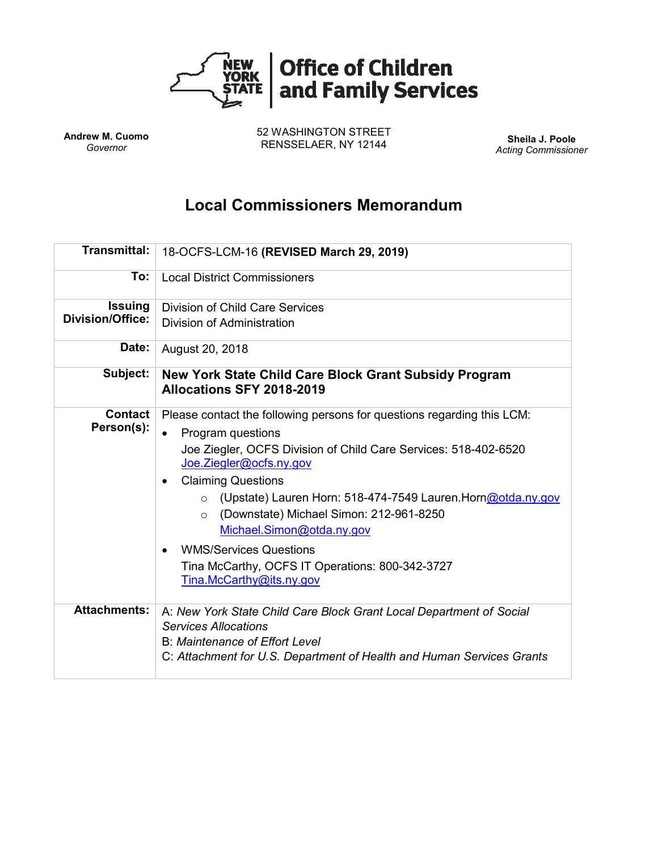

**Andrew M. Cuomo** *Governor*

52 WASHINGTON STREET RENSSELAER, NY 12144 **Sheila J. Poole**

*Acting Commissioner*

# **Local Commissioners Memorandum**

| <b>Transmittal:</b>                       | 18-OCFS-LCM-16 (REVISED March 29, 2019)                                                                                                                                                                                                                                                                                                                                                                                                                                                                                            |
|-------------------------------------------|------------------------------------------------------------------------------------------------------------------------------------------------------------------------------------------------------------------------------------------------------------------------------------------------------------------------------------------------------------------------------------------------------------------------------------------------------------------------------------------------------------------------------------|
| To:                                       | <b>Local District Commissioners</b>                                                                                                                                                                                                                                                                                                                                                                                                                                                                                                |
| <b>Issuing</b><br><b>Division/Office:</b> | <b>Division of Child Care Services</b><br>Division of Administration                                                                                                                                                                                                                                                                                                                                                                                                                                                               |
| Date:                                     | August 20, 2018                                                                                                                                                                                                                                                                                                                                                                                                                                                                                                                    |
| Subject:                                  | New York State Child Care Block Grant Subsidy Program<br>Allocations SFY 2018-2019                                                                                                                                                                                                                                                                                                                                                                                                                                                 |
| <b>Contact</b><br>Person(s):              | Please contact the following persons for questions regarding this LCM:<br>Program questions<br>$\bullet$<br>Joe Ziegler, OCFS Division of Child Care Services: 518-402-6520<br>Joe.Ziegler@ocfs.ny.gov<br><b>Claiming Questions</b><br>$\bullet$<br>○ (Upstate) Lauren Horn: 518-474-7549 Lauren. Horn@otda.ny.gov<br>(Downstate) Michael Simon: 212-961-8250<br>$\circ$<br>Michael.Simon@otda.ny.gov<br><b>WMS/Services Questions</b><br>$\bullet$<br>Tina McCarthy, OCFS IT Operations: 800-342-3727<br>Tina.McCarthy@its.ny.gov |
| <b>Attachments:</b>                       | A: New York State Child Care Block Grant Local Department of Social<br><b>Services Allocations</b><br><b>B: Maintenance of Effort Level</b><br>C: Attachment for U.S. Department of Health and Human Services Grants                                                                                                                                                                                                                                                                                                               |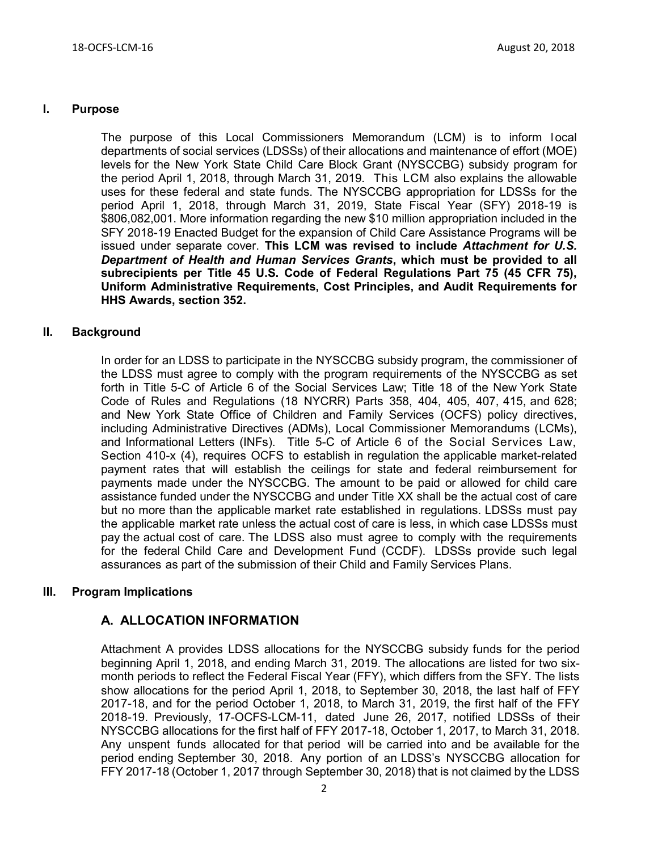### **I. Purpose**

The purpose of this Local Commissioners Memorandum (LCM) is to inform local departments of social services (LDSSs) of their allocations and maintenance of effort (MOE) levels for the New York State Child Care Block Grant (NYSCCBG) subsidy program for the period April 1, 2018, through March 31, 2019. This LCM also explains the allowable uses for these federal and state funds. The NYSCCBG appropriation for LDSSs for the period April 1, 2018, through March 31, 2019, State Fiscal Year (SFY) 2018-19 is \$806,082,001. More information regarding the new \$10 million appropriation included in the SFY 2018-19 Enacted Budget for the expansion of Child Care Assistance Programs will be issued under separate cover. **This LCM was revised to include** *Attachment for U.S. Department of Health and Human Services Grants***, which must be provided to all subrecipients per Title 45 U.S. Code of Federal Regulations Part 75 (45 CFR 75), Uniform Administrative Requirements, Cost Principles, and Audit Requirements for HHS Awards, section 352.**

#### **II. Background**

In order for an LDSS to participate in the NYSCCBG subsidy program, the commissioner of the LDSS must agree to comply with the program requirements of the NYSCCBG as set forth in Title 5-C of Article 6 of the Social Services Law; Title 18 of the New York State Code of Rules and Regulations (18 NYCRR) Parts 358, 404, 405, 407, 415, and 628; and New York State Office of Children and Family Services (OCFS) policy directives, including Administrative Directives (ADMs), Local Commissioner Memorandums (LCMs), and Informational Letters (INFs). Title 5-C of Article 6 of the Social Services Law, Section 410-x (4), requires OCFS to establish in regulation the applicable market-related payment rates that will establish the ceilings for state and federal reimbursement for payments made under the NYSCCBG. The amount to be paid or allowed for child care assistance funded under the NYSCCBG and under Title XX shall be the actual cost of care but no more than the applicable market rate established in regulations. LDSSs must pay the applicable market rate unless the actual cost of care is less, in which case LDSSs must pay the actual cost of care. The LDSS also must agree to comply with the requirements for the federal Child Care and Development Fund (CCDF). LDSSs provide such legal assurances as part of the submission of their Child and Family Services Plans.

### **III. Program Implications**

### **A. ALLOCATION INFORMATION**

Attachment A provides LDSS allocations for the NYSCCBG subsidy funds for the period beginning April 1, 2018, and ending March 31, 2019. The allocations are listed for two sixmonth periods to reflect the Federal Fiscal Year (FFY), which differs from the SFY. The lists show allocations for the period April 1, 2018, to September 30, 2018, the last half of FFY 2017-18, and for the period October 1, 2018, to March 31, 2019, the first half of the FFY 2018-19. Previously, 17-OCFS-LCM-11, dated June 26, 2017, notified LDSSs of their NYSCCBG allocations for the first half of FFY 2017-18, October 1, 2017, to March 31, 2018. Any unspent funds allocated for that period will be carried into and be available for the period ending September 30, 2018. Any portion of an LDSS's NYSCCBG allocation for FFY 2017-18 (October 1, 2017 through September 30, 2018) that is not claimed by the LDSS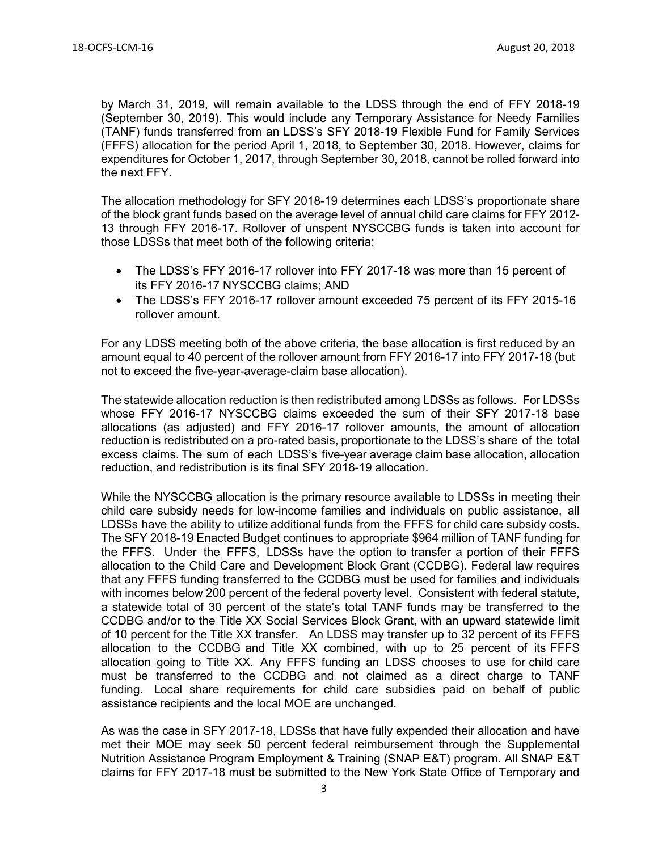by March 31, 2019, will remain available to the LDSS through the end of FFY 2018-19 (September 30, 2019). This would include any Temporary Assistance for Needy Families (TANF) funds transferred from an LDSS's SFY 2018-19 Flexible Fund for Family Services (FFFS) allocation for the period April 1, 2018, to September 30, 2018. However, claims for expenditures for October 1, 2017, through September 30, 2018, cannot be rolled forward into the next FFY.

The allocation methodology for SFY 2018-19 determines each LDSS's proportionate share of the block grant funds based on the average level of annual child care claims for FFY 2012- 13 through FFY 2016-17. Rollover of unspent NYSCCBG funds is taken into account for those LDSSs that meet both of the following criteria:

- The LDSS's FFY 2016-17 rollover into FFY 2017-18 was more than 15 percent of its FFY 2016-17 NYSCCBG claims; AND
- The LDSS's FFY 2016-17 rollover amount exceeded 75 percent of its FFY 2015-16 rollover amount.

For any LDSS meeting both of the above criteria, the base allocation is first reduced by an amount equal to 40 percent of the rollover amount from FFY 2016-17 into FFY 2017-18 (but not to exceed the five-year-average-claim base allocation).

The statewide allocation reduction is then redistributed among LDSSs as follows. For LDSSs whose FFY 2016-17 NYSCCBG claims exceeded the sum of their SFY 2017-18 base allocations (as adjusted) and FFY 2016-17 rollover amounts, the amount of allocation reduction is redistributed on a pro-rated basis, proportionate to the LDSS's share of the total excess claims. The sum of each LDSS's five-year average claim base allocation, allocation reduction, and redistribution is its final SFY 2018-19 allocation.

While the NYSCCBG allocation is the primary resource available to LDSSs in meeting their child care subsidy needs for low-income families and individuals on public assistance, all LDSSs have the ability to utilize additional funds from the FFFS for child care subsidy costs. The SFY 2018-19 Enacted Budget continues to appropriate \$964 million of TANF funding for the FFFS. Under the FFFS, LDSSs have the option to transfer a portion of their FFFS allocation to the Child Care and Development Block Grant (CCDBG). Federal law requires that any FFFS funding transferred to the CCDBG must be used for families and individuals with incomes below 200 percent of the federal poverty level. Consistent with federal statute, a statewide total of 30 percent of the state's total TANF funds may be transferred to the CCDBG and/or to the Title XX Social Services Block Grant, with an upward statewide limit of 10 percent for the Title XX transfer. An LDSS may transfer up to 32 percent of its FFFS allocation to the CCDBG and Title XX combined, with up to 25 percent of its FFFS allocation going to Title XX. Any FFFS funding an LDSS chooses to use for child care must be transferred to the CCDBG and not claimed as a direct charge to TANF funding. Local share requirements for child care subsidies paid on behalf of public assistance recipients and the local MOE are unchanged.

As was the case in SFY 2017-18, LDSSs that have fully expended their allocation and have met their MOE may seek 50 percent federal reimbursement through the Supplemental Nutrition Assistance Program Employment & Training (SNAP E&T) program. All SNAP E&T claims for FFY 2017-18 must be submitted to the New York State Office of Temporary and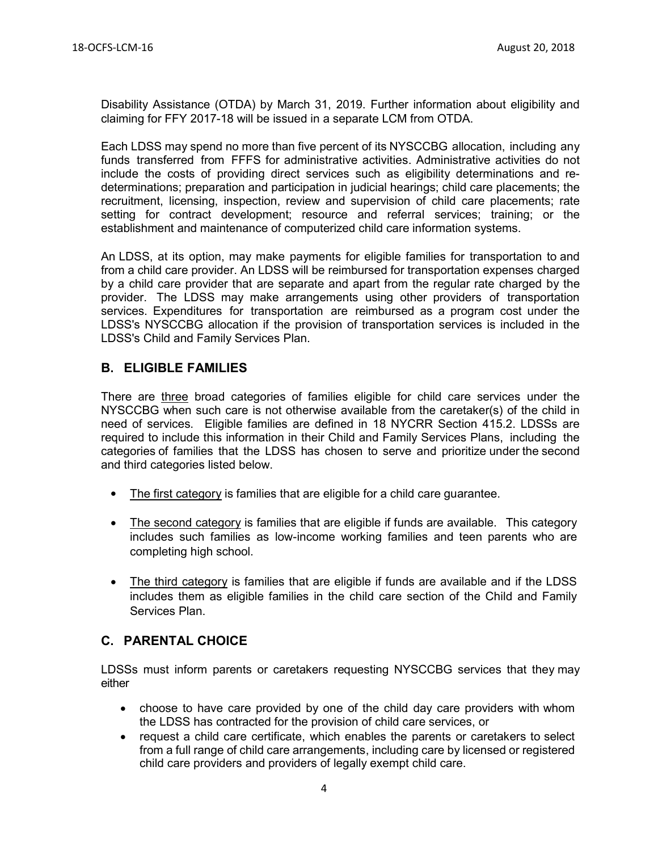Disability Assistance (OTDA) by March 31, 2019. Further information about eligibility and claiming for FFY 2017-18 will be issued in a separate LCM from OTDA.

Each LDSS may spend no more than five percent of its NYSCCBG allocation, including any funds transferred from FFFS for administrative activities. Administrative activities do not include the costs of providing direct services such as eligibility determinations and redeterminations; preparation and participation in judicial hearings; child care placements; the recruitment, licensing, inspection, review and supervision of child care placements; rate setting for contract development; resource and referral services; training; or the establishment and maintenance of computerized child care information systems.

An LDSS, at its option, may make payments for eligible families for transportation to and from a child care provider. An LDSS will be reimbursed for transportation expenses charged by a child care provider that are separate and apart from the regular rate charged by the provider. The LDSS may make arrangements using other providers of transportation services. Expenditures for transportation are reimbursed as a program cost under the LDSS's NYSCCBG allocation if the provision of transportation services is included in the LDSS's Child and Family Services Plan.

### **B. ELIGIBLE FAMILIES**

There are three broad categories of families eligible for child care services under the NYSCCBG when such care is not otherwise available from the caretaker(s) of the child in need of services. Eligible families are defined in 18 NYCRR Section 415.2. LDSSs are required to include this information in their Child and Family Services Plans, including the categories of families that the LDSS has chosen to serve and prioritize under the second and third categories listed below.

- The first category is families that are eligible for a child care guarantee.
- The second category is families that are eligible if funds are available. This category includes such families as low-income working families and teen parents who are completing high school.
- The third category is families that are eligible if funds are available and if the LDSS includes them as eligible families in the child care section of the Child and Family Services Plan.

### **C. PARENTAL CHOICE**

LDSSs must inform parents or caretakers requesting NYSCCBG services that they may either

- choose to have care provided by one of the child day care providers with whom the LDSS has contracted for the provision of child care services, or
- request a child care certificate, which enables the parents or caretakers to select from a full range of child care arrangements, including care by licensed or registered child care providers and providers of legally exempt child care.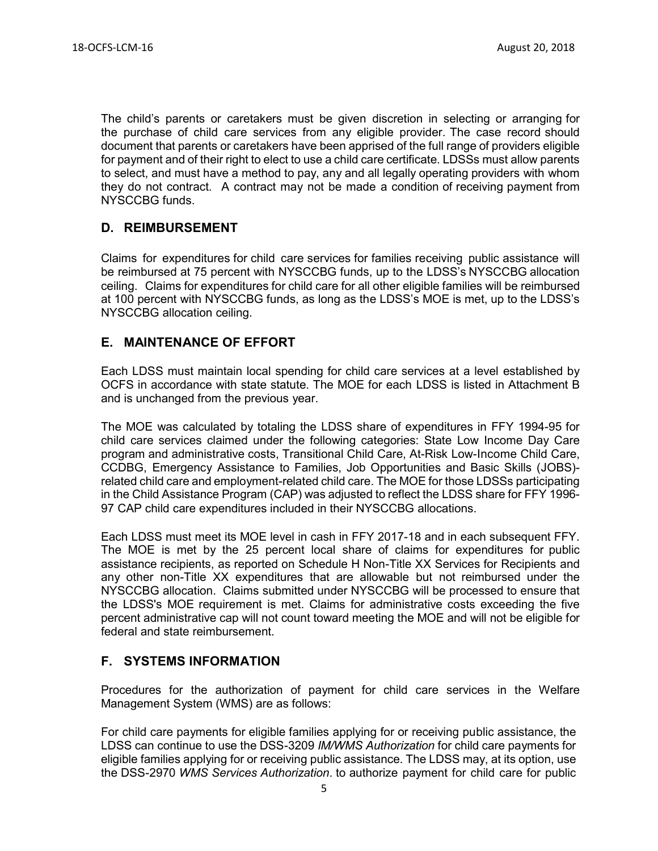The child's parents or caretakers must be given discretion in selecting or arranging for the purchase of child care services from any eligible provider. The case record should document that parents or caretakers have been apprised of the full range of providers eligible for payment and of their right to elect to use a child care certificate. LDSSs must allow parents to select, and must have a method to pay, any and all legally operating providers with whom they do not contract. A contract may not be made a condition of receiving payment from NYSCCBG funds.

### **D. REIMBURSEMENT**

Claims for expenditures for child care services for families receiving public assistance will be reimbursed at 75 percent with NYSCCBG funds, up to the LDSS's NYSCCBG allocation ceiling. Claims for expenditures for child care for all other eligible families will be reimbursed at 100 percent with NYSCCBG funds, as long as the LDSS's MOE is met, up to the LDSS's NYSCCBG allocation ceiling.

### **E. MAINTENANCE OF EFFORT**

Each LDSS must maintain local spending for child care services at a level established by OCFS in accordance with state statute. The MOE for each LDSS is listed in Attachment B and is unchanged from the previous year.

The MOE was calculated by totaling the LDSS share of expenditures in FFY 1994-95 for child care services claimed under the following categories: State Low Income Day Care program and administrative costs, Transitional Child Care, At-Risk Low-Income Child Care, CCDBG, Emergency Assistance to Families, Job Opportunities and Basic Skills (JOBS) related child care and employment-related child care. The MOE for those LDSSs participating in the Child Assistance Program (CAP) was adjusted to reflect the LDSS share for FFY 1996- 97 CAP child care expenditures included in their NYSCCBG allocations.

Each LDSS must meet its MOE level in cash in FFY 2017-18 and in each subsequent FFY. The MOE is met by the 25 percent local share of claims for expenditures for public assistance recipients, as reported on Schedule H Non-Title XX Services for Recipients and any other non-Title XX expenditures that are allowable but not reimbursed under the NYSCCBG allocation. Claims submitted under NYSCCBG will be processed to ensure that the LDSS's MOE requirement is met. Claims for administrative costs exceeding the five percent administrative cap will not count toward meeting the MOE and will not be eligible for federal and state reimbursement.

### **F. SYSTEMS INFORMATION**

Procedures for the authorization of payment for child care services in the Welfare Management System (WMS) are as follows:

For child care payments for eligible families applying for or receiving public assistance, the LDSS can continue to use the DSS-3209 *IM/WMS Authorization* for child care payments for eligible families applying for or receiving public assistance. The LDSS may, at its option, use the DSS-2970 *WMS Services Authorization*. to authorize payment for child care for public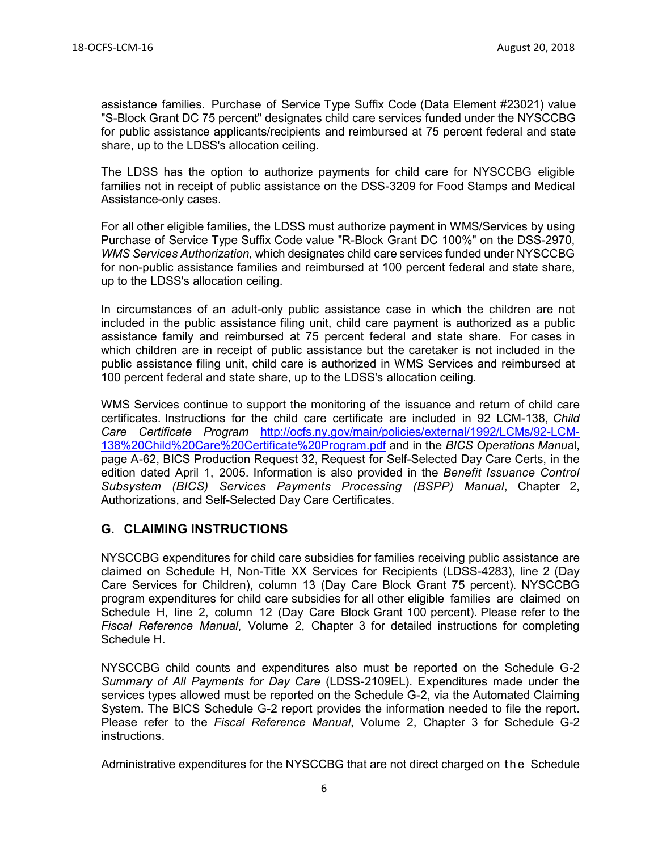assistance families. Purchase of Service Type Suffix Code (Data Element #23021) value "S-Block Grant DC 75 percent" designates child care services funded under the NYSCCBG for public assistance applicants/recipients and reimbursed at 75 percent federal and state share, up to the LDSS's allocation ceiling.

The LDSS has the option to authorize payments for child care for NYSCCBG eligible families not in receipt of public assistance on the DSS-3209 for Food Stamps and Medical Assistance-only cases.

For all other eligible families, the LDSS must authorize payment in WMS/Services by using Purchase of Service Type Suffix Code value "R-Block Grant DC 100%" on the DSS-2970, *WMS Services Authorization*, which designates child care services funded under NYSCCBG for non-public assistance families and reimbursed at 100 percent federal and state share, up to the LDSS's allocation ceiling.

In circumstances of an adult-only public assistance case in which the children are not included in the public assistance filing unit, child care payment is authorized as a public assistance family and reimbursed at 75 percent federal and state share. For cases in which children are in receipt of public assistance but the caretaker is not included in the public assistance filing unit, child care is authorized in WMS Services and reimbursed at 100 percent federal and state share, up to the LDSS's allocation ceiling.

WMS Services continue to support the monitoring of the issuance and return of child care certificates. Instructions for the child care certificate are included in 92 LCM-138, *Child Care Certificate Program* [http://ocfs.ny.gov/main/policies/external/1992/LCMs/92-LCM-](http://ocfs.ny.gov/main/policies/external/1992/LCMs/92-LCM-138%20Child%20Care%20Certificate%20Program.pdf)[138%20Child%20Care%20Certificate%20Program.pdf](http://ocfs.ny.gov/main/policies/external/1992/LCMs/92-LCM-138%20Child%20Care%20Certificate%20Program.pdf) and in the *BICS Operations Manua*l, page A-62, BICS Production Request 32, Request for Self-Selected Day Care Certs, in the edition dated April 1, 2005. Information is also provided in the *Benefit Issuance Control Subsystem (BICS) Services Payments Processing (BSPP) Manual*, Chapter 2, Authorizations, and Self-Selected Day Care Certificates.

### **G. CLAIMING INSTRUCTIONS**

NYSCCBG expenditures for child care subsidies for families receiving public assistance are claimed on Schedule H, Non-Title XX Services for Recipients (LDSS-4283), line 2 (Day Care Services for Children), column 13 (Day Care Block Grant 75 percent). NYSCCBG program expenditures for child care subsidies for all other eligible families are claimed on Schedule H, line 2, column 12 (Day Care Block Grant 100 percent). Please refer to the *Fiscal Reference Manual*, Volume 2, Chapter 3 for detailed instructions for completing Schedule H.

NYSCCBG child counts and expenditures also must be reported on the Schedule G-2 *Summary of All Payments for Day Care* (LDSS-2109EL). Expenditures made under the services types allowed must be reported on the Schedule G-2, via the Automated Claiming System. The BICS Schedule G-2 report provides the information needed to file the report. Please refer to the *Fiscal Reference Manual*, Volume 2, Chapter 3 for Schedule G-2 instructions.

Administrative expenditures for the NYSCCBG that are not direct charged on th e Schedule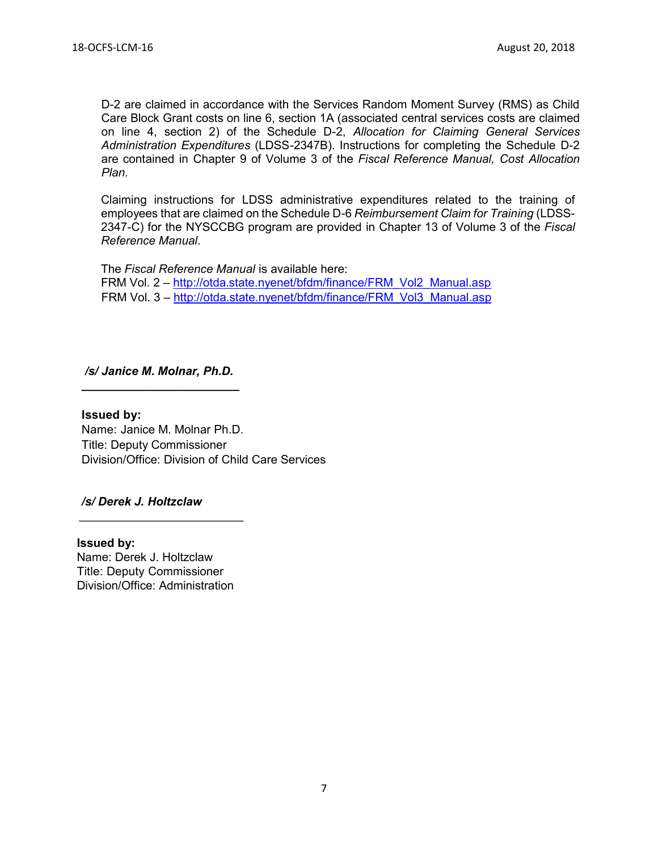D-2 are claimed in accordance with the Services Random Moment Survey (RMS) as Child Care Block Grant costs on line 6, section 1A (associated central services costs are claimed on line 4, section 2) of the Schedule D-2, *Allocation for Claiming General Services Administration Expenditures* (LDSS-2347B). Instructions for completing the Schedule D-2 are contained in Chapter 9 of Volume 3 of the *Fiscal Reference Manual, Cost Allocation Plan.* 

Claiming instructions for LDSS administrative expenditures related to the training of employees that are claimed on the Schedule D-6 *Reimbursement Claim for Training* (LDSS-2347-C) for the NYSCCBG program are provided in Chapter 13 of Volume 3 of the *Fiscal Reference Manual*.

The *Fiscal Reference Manual* is available here: FRM Vol. 2 – [http://otda.state.nyenet/bfdm/finance/FRM\\_Vol2\\_Manual.asp](http://otda.state.nyenet/bfdm/finance/FRM_Vol2_Manual.asp) FRM Vol. 3 – [http://otda.state.nyenet/bfdm/finance/FRM\\_Vol3\\_Manual.asp](http://otda.state.nyenet/bfdm/finance/FRM_Vol3_Manual.asp)

#### */s/ Janice M. Molnar, Ph.D. \_\_\_\_\_\_\_\_\_\_\_\_\_\_\_\_\_\_\_\_\_\_\_\_*

#### **Issued by:**

Name: Janice M. Molnar Ph.D. Title: Deputy Commissioner Division/Office: Division of Child Care Services

#### */s/ Derek J. Holtzclaw*  $\overline{\phantom{a}}$  , which is a set of the set of the set of the set of the set of the set of the set of the set of the set of the set of the set of the set of the set of the set of the set of the set of the set of the set of th

**Issued by:** Name: Derek J. Holtzclaw Title: Deputy Commissioner Division/Office: Administration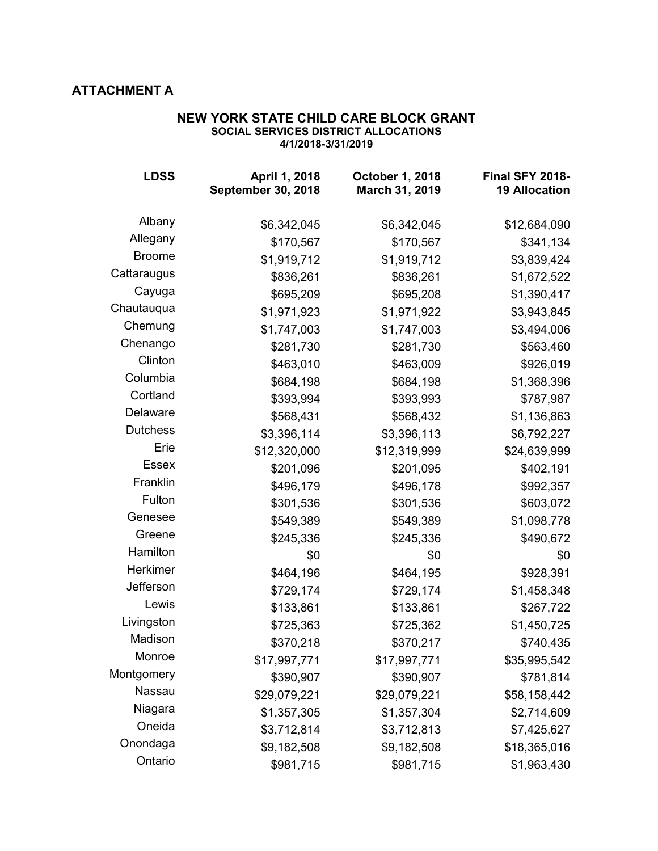# **ATTACHMENT A**

#### **NEW YORK STATE CHILD CARE BLOCK GRANT SOCIAL SERVICES DISTRICT ALLOCATIONS 4/1/2018-3/31/2019**

| <b>LDSS</b>     | April 1, 2018<br><b>September 30, 2018</b> | <b>October 1, 2018</b><br>March 31, 2019 | <b>Final SFY 2018-</b><br><b>19 Allocation</b> |
|-----------------|--------------------------------------------|------------------------------------------|------------------------------------------------|
| Albany          | \$6,342,045                                | \$6,342,045                              | \$12,684,090                                   |
| Allegany        | \$170,567                                  | \$170,567                                | \$341,134                                      |
| <b>Broome</b>   | \$1,919,712                                | \$1,919,712                              | \$3,839,424                                    |
| Cattaraugus     | \$836,261                                  | \$836,261                                | \$1,672,522                                    |
| Cayuga          | \$695,209                                  | \$695,208                                | \$1,390,417                                    |
| Chautauqua      | \$1,971,923                                | \$1,971,922                              | \$3,943,845                                    |
| Chemung         | \$1,747,003                                | \$1,747,003                              | \$3,494,006                                    |
| Chenango        | \$281,730                                  | \$281,730                                | \$563,460                                      |
| Clinton         | \$463,010                                  | \$463,009                                | \$926,019                                      |
| Columbia        | \$684,198                                  | \$684,198                                | \$1,368,396                                    |
| Cortland        | \$393,994                                  | \$393,993                                | \$787,987                                      |
| Delaware        | \$568,431                                  | \$568,432                                | \$1,136,863                                    |
| <b>Dutchess</b> | \$3,396,114                                | \$3,396,113                              | \$6,792,227                                    |
| Erie            | \$12,320,000                               | \$12,319,999                             | \$24,639,999                                   |
| <b>Essex</b>    | \$201,096                                  | \$201,095                                | \$402,191                                      |
| Franklin        | \$496,179                                  | \$496,178                                | \$992,357                                      |
| Fulton          | \$301,536                                  | \$301,536                                | \$603,072                                      |
| Genesee         | \$549,389                                  | \$549,389                                | \$1,098,778                                    |
| Greene          | \$245,336                                  | \$245,336                                | \$490,672                                      |
| Hamilton        | \$0                                        | \$0                                      | \$0                                            |
| Herkimer        | \$464,196                                  | \$464,195                                | \$928,391                                      |
| Jefferson       | \$729,174                                  | \$729,174                                | \$1,458,348                                    |
| Lewis           | \$133,861                                  | \$133,861                                | \$267,722                                      |
| Livingston      | \$725,363                                  | \$725,362                                | \$1,450,725                                    |
| Madison         | \$370,218                                  | \$370,217                                | \$740,435                                      |
| Monroe          | \$17,997,771                               | \$17,997,771                             | \$35,995,542                                   |
| Montgomery      | \$390,907                                  | \$390,907                                | \$781,814                                      |
| Nassau          | \$29,079,221                               | \$29,079,221                             | \$58,158,442                                   |
| Niagara         | \$1,357,305                                | \$1,357,304                              | \$2,714,609                                    |
| Oneida          | \$3,712,814                                | \$3,712,813                              | \$7,425,627                                    |
| Onondaga        | \$9,182,508                                | \$9,182,508                              | \$18,365,016                                   |
| Ontario         | \$981,715                                  | \$981,715                                | \$1,963,430                                    |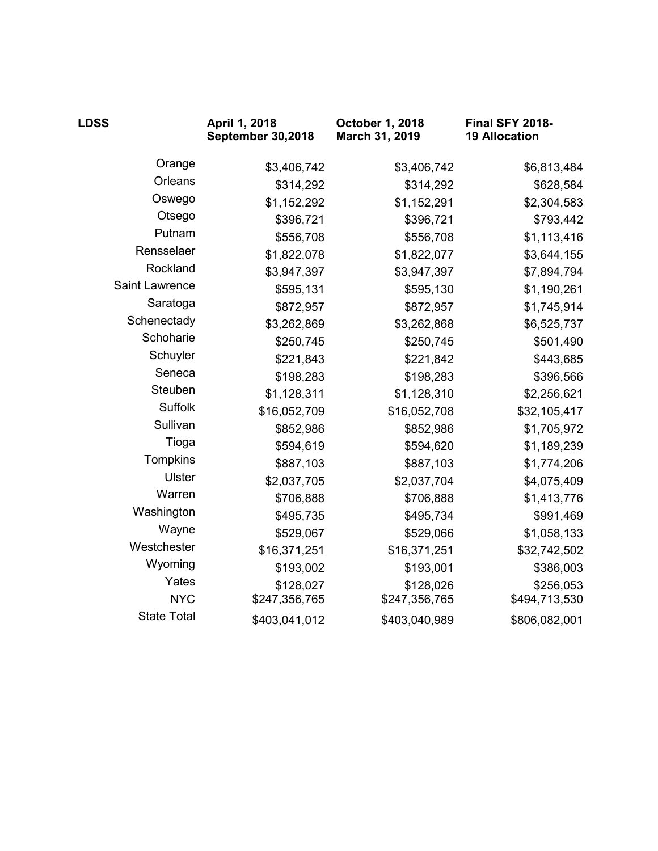| <b>LDSS</b>        | April 1, 2018<br>September 30,2018 | October 1, 2018<br>March 31, 2019 | Final SFY 2018-<br><b>19 Allocation</b> |
|--------------------|------------------------------------|-----------------------------------|-----------------------------------------|
| Orange             | \$3,406,742                        | \$3,406,742                       | \$6,813,484                             |
| Orleans            | \$314,292                          | \$314,292                         | \$628,584                               |
| Oswego             | \$1,152,292                        | \$1,152,291                       | \$2,304,583                             |
| Otsego             | \$396,721                          | \$396,721                         | \$793,442                               |
| Putnam             | \$556,708                          | \$556,708                         | \$1,113,416                             |
| Rensselaer         | \$1,822,078                        | \$1,822,077                       | \$3,644,155                             |
| Rockland           | \$3,947,397                        | \$3,947,397                       | \$7,894,794                             |
| Saint Lawrence     | \$595,131                          | \$595,130                         | \$1,190,261                             |
| Saratoga           | \$872,957                          | \$872,957                         | \$1,745,914                             |
| Schenectady        | \$3,262,869                        | \$3,262,868                       | \$6,525,737                             |
| Schoharie          | \$250,745                          | \$250,745                         | \$501,490                               |
| Schuyler           | \$221,843                          | \$221,842                         | \$443,685                               |
| Seneca             | \$198,283                          | \$198,283                         | \$396,566                               |
| Steuben            | \$1,128,311                        | \$1,128,310                       | \$2,256,621                             |
| Suffolk            | \$16,052,709                       | \$16,052,708                      | \$32,105,417                            |
| Sullivan           | \$852,986                          | \$852,986                         | \$1,705,972                             |
| Tioga              | \$594,619                          | \$594,620                         | \$1,189,239                             |
| Tompkins           | \$887,103                          | \$887,103                         | \$1,774,206                             |
| <b>Ulster</b>      | \$2,037,705                        | \$2,037,704                       | \$4,075,409                             |
| Warren             | \$706,888                          | \$706,888                         | \$1,413,776                             |
| Washington         | \$495,735                          | \$495,734                         | \$991,469                               |
| Wayne              | \$529,067                          | \$529,066                         | \$1,058,133                             |
| Westchester        | \$16,371,251                       | \$16,371,251                      | \$32,742,502                            |
| Wyoming            | \$193,002                          | \$193,001                         | \$386,003                               |
| Yates              | \$128,027                          | \$128,026                         | \$256,053                               |
| <b>NYC</b>         | \$247,356,765                      | \$247,356,765                     | \$494,713,530                           |
| <b>State Total</b> | \$403,041,012                      | \$403,040,989                     | \$806,082,001                           |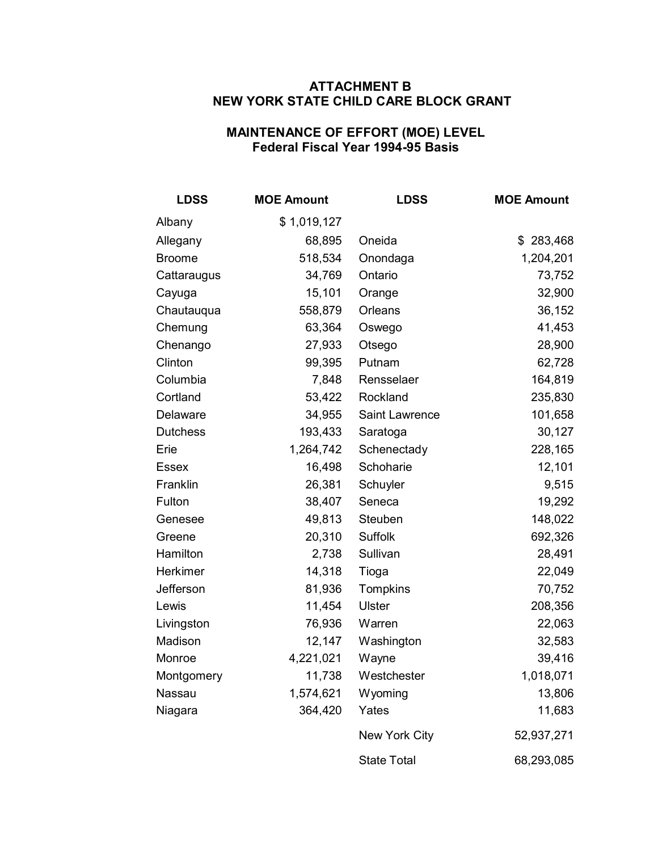### **ATTACHMENT B NEW YORK STATE CHILD CARE BLOCK GRANT**

### **MAINTENANCE OF EFFORT (MOE) LEVEL Federal Fiscal Year 1994-95 Basis**

| <b>LDSS</b>     | <b>MOE Amount</b> | <b>LDSS</b>        | <b>MOE Amount</b> |
|-----------------|-------------------|--------------------|-------------------|
| Albany          | \$1,019,127       |                    |                   |
| Allegany        | 68,895            | Oneida             | \$283,468         |
| Broome          | 518,534           | Onondaga           | 1,204,201         |
| Cattaraugus     | 34,769            | Ontario            | 73,752            |
| Cayuga          | 15,101            | Orange             | 32,900            |
| Chautauqua      | 558,879           | Orleans            | 36,152            |
| Chemung         | 63,364            | Oswego             | 41,453            |
| Chenango        | 27,933            | Otsego             | 28,900            |
| Clinton         | 99,395            | Putnam             | 62,728            |
| Columbia        | 7,848             | Rensselaer         | 164,819           |
| Cortland        | 53,422            | Rockland           | 235,830           |
| Delaware        | 34,955            | Saint Lawrence     | 101,658           |
| <b>Dutchess</b> | 193,433           | Saratoga           | 30,127            |
| Erie            | 1,264,742         | Schenectady        | 228,165           |
| Essex           | 16,498            | Schoharie          | 12,101            |
| Franklin        | 26,381            | Schuyler           | 9,515             |
| Fulton          | 38,407            | Seneca             | 19,292            |
| Genesee         | 49,813            | Steuben            | 148,022           |
| Greene          | 20,310            | Suffolk            | 692,326           |
| Hamilton        | 2,738             | Sullivan           | 28,491            |
| Herkimer        | 14,318            | Tioga              | 22,049            |
| Jefferson       | 81,936            | Tompkins           | 70,752            |
| Lewis           | 11,454            | <b>Ulster</b>      | 208,356           |
| Livingston      | 76,936            | Warren             | 22,063            |
| Madison         | 12,147            | Washington         | 32,583            |
| Monroe          | 4,221,021         | Wayne              | 39,416            |
| Montgomery      | 11,738            | Westchester        | 1,018,071         |
| Nassau          | 1,574,621         | Wyoming            | 13,806            |
| Niagara         | 364,420           | Yates              | 11,683            |
|                 |                   | New York City      | 52,937,271        |
|                 |                   | <b>State Total</b> | 68,293,085        |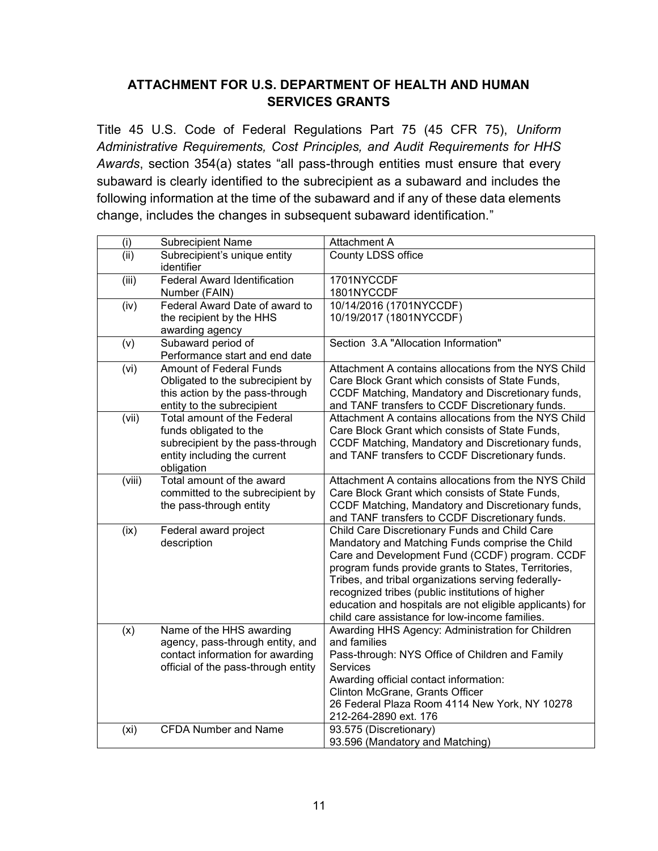# **ATTACHMENT FOR U.S. DEPARTMENT OF HEALTH AND HUMAN SERVICES GRANTS**

Title 45 U.S. Code of Federal Regulations Part 75 (45 CFR 75), *Uniform Administrative Requirements, Cost Principles, and Audit Requirements for HHS Awards*, section 354(a) states "all pass-through entities must ensure that every subaward is clearly identified to the subrecipient as a subaward and includes the following information at the time of the subaward and if any of these data elements change, includes the changes in subsequent subaward identification."

| (i)               | <b>Subrecipient Name</b>                                                                                                                | Attachment A                                                                                                                                                                                                                                                                                                                                                                                                                        |
|-------------------|-----------------------------------------------------------------------------------------------------------------------------------------|-------------------------------------------------------------------------------------------------------------------------------------------------------------------------------------------------------------------------------------------------------------------------------------------------------------------------------------------------------------------------------------------------------------------------------------|
| (ii)              | Subrecipient's unique entity<br>identifier                                                                                              | County LDSS office                                                                                                                                                                                                                                                                                                                                                                                                                  |
| (iii)             | <b>Federal Award Identification</b><br>Number (FAIN)                                                                                    | 1701NYCCDF<br>1801NYCCDF                                                                                                                                                                                                                                                                                                                                                                                                            |
| (iv)              | Federal Award Date of award to<br>the recipient by the HHS<br>awarding agency                                                           | 10/14/2016 (1701NYCCDF)<br>10/19/2017 (1801NYCCDF)                                                                                                                                                                                                                                                                                                                                                                                  |
| (v)               | Subaward period of<br>Performance start and end date                                                                                    | Section 3.A "Allocation Information"                                                                                                                                                                                                                                                                                                                                                                                                |
| (vi)              | Amount of Federal Funds<br>Obligated to the subrecipient by<br>this action by the pass-through<br>entity to the subrecipient            | Attachment A contains allocations from the NYS Child<br>Care Block Grant which consists of State Funds,<br>CCDF Matching, Mandatory and Discretionary funds,<br>and TANF transfers to CCDF Discretionary funds.                                                                                                                                                                                                                     |
| (vii)             | Total amount of the Federal<br>funds obligated to the<br>subrecipient by the pass-through<br>entity including the current<br>obligation | Attachment A contains allocations from the NYS Child<br>Care Block Grant which consists of State Funds,<br>CCDF Matching, Mandatory and Discretionary funds,<br>and TANF transfers to CCDF Discretionary funds.                                                                                                                                                                                                                     |
| (viii)            | Total amount of the award<br>committed to the subrecipient by<br>the pass-through entity                                                | Attachment A contains allocations from the NYS Child<br>Care Block Grant which consists of State Funds,<br>CCDF Matching, Mandatory and Discretionary funds,<br>and TANF transfers to CCDF Discretionary funds.                                                                                                                                                                                                                     |
| (ix)              | Federal award project<br>description                                                                                                    | Child Care Discretionary Funds and Child Care<br>Mandatory and Matching Funds comprise the Child<br>Care and Development Fund (CCDF) program. CCDF<br>program funds provide grants to States, Territories,<br>Tribes, and tribal organizations serving federally-<br>recognized tribes (public institutions of higher<br>education and hospitals are not eligible applicants) for<br>child care assistance for low-income families. |
| (x)               | Name of the HHS awarding<br>agency, pass-through entity, and<br>contact information for awarding<br>official of the pass-through entity | Awarding HHS Agency: Administration for Children<br>and families<br>Pass-through: NYS Office of Children and Family<br><b>Services</b><br>Awarding official contact information:<br>Clinton McGrane, Grants Officer<br>26 Federal Plaza Room 4114 New York, NY 10278<br>212-264-2890 ext. 176                                                                                                                                       |
| (x <sub>i</sub> ) | <b>CFDA Number and Name</b>                                                                                                             | 93.575 (Discretionary)<br>93.596 (Mandatory and Matching)                                                                                                                                                                                                                                                                                                                                                                           |